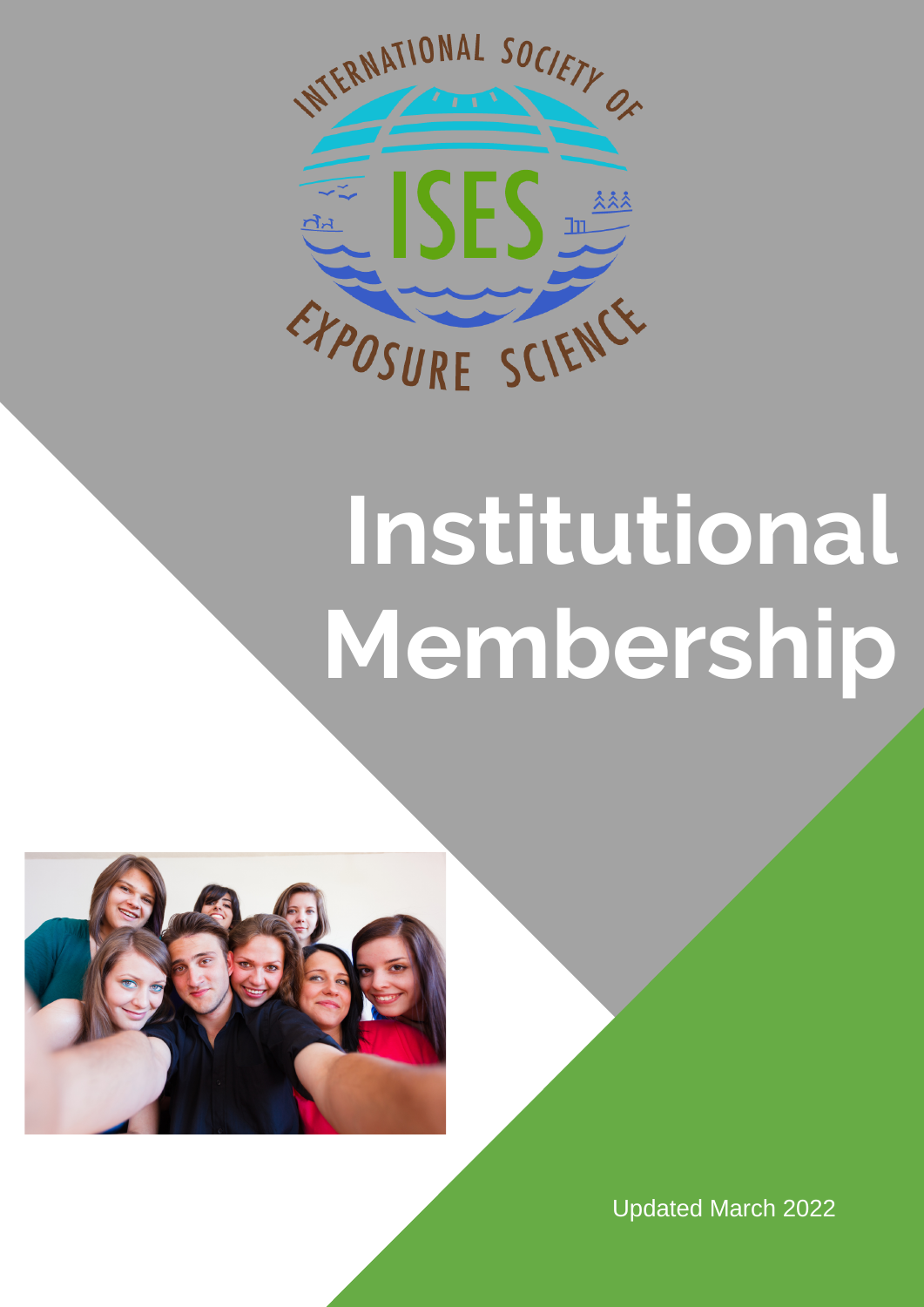

## **Institutional Membership**



Updated March 2022